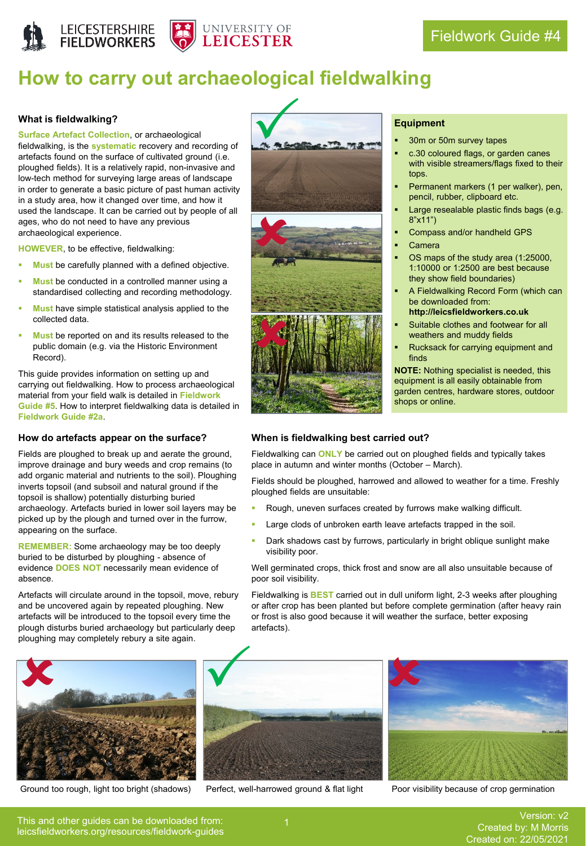



# **How to carry out archaeological fieldwalking**

#### **What is fieldwalking?**

**Surface Artefact Collection**, or archaeological fieldwalking, is the **systematic** recovery and recording of artefacts found on the surface of cultivated ground (i.e. ploughed fields). It is a relatively rapid, non-invasive and low-tech method for surveying large areas of landscape in order to generate a basic picture of past human activity in a study area, how it changed over time, and how it used the landscape. It can be carried out by people of all ages, who do not need to have any previous archaeological experience.

**HOWEVER**, to be effective, fieldwalking:

- **Must** be carefully planned with a defined objective.
- **Must** be conducted in a controlled manner using a standardised collecting and recording methodology.
- **Must** have simple statistical analysis applied to the collected data.
- **Must** be reported on and its results released to the public domain (e.g. via the Historic Environment Record).

This guide provides information on setting up and carrying out fieldwalking. How to process archaeological material from your field walk is detailed in **Fieldwork Guide #5**. How to interpret fieldwalking data is detailed in **Fieldwork Guide #2a**.

#### **How do artefacts appear on the surface?**

Fields are ploughed to break up and aerate the ground, improve drainage and bury weeds and crop remains (to add organic material and nutrients to the soil). Ploughing inverts topsoil (and subsoil and natural ground if the topsoil is shallow) potentially disturbing buried archaeology. Artefacts buried in lower soil layers may be picked up by the plough and turned over in the furrow, appearing on the surface.

**REMEMBER:** Some archaeology may be too deeply buried to be disturbed by ploughing - absence of evidence **DOES NOT** necessarily mean evidence of absence.

Artefacts will circulate around in the topsoil, move, rebury and be uncovered again by repeated ploughing. New artefacts will be introduced to the topsoil every time the plough disturbs buried archaeology but particularly deep ploughing may completely rebury a site again.





#### **Equipment**

- 30m or 50m survey tapes
- c.30 coloured flags, or garden canes with visible streamers/flags fixed to their tops.
- Permanent markers (1 per walker), pen, pencil, rubber, clipboard etc.
- Large resealable plastic finds bags (e.g. 8"x11")
- Compass and/or handheld GPS
- **Camera**
- OS maps of the study area (1:25000, 1:10000 or 1:2500 are best because they show field boundaries)
- A Fieldwalking Record Form (which can be downloaded from: **http://leicsfieldworkers.co.uk**
- Suitable clothes and footwear for all weathers and muddy fields
- Rucksack for carrying equipment and finds

**NOTE:** Nothing specialist is needed, this equipment is all easily obtainable from garden centres, hardware stores, outdoor shops or online.

#### **When is fieldwalking best carried out?**

Fieldwalking can **ONLY** be carried out on ploughed fields and typically takes place in autumn and winter months (October – March).

Fields should be ploughed, harrowed and allowed to weather for a time. Freshly ploughed fields are unsuitable:

- Rough, uneven surfaces created by furrows make walking difficult.
- Large clods of unbroken earth leave artefacts trapped in the soil.
- Dark shadows cast by furrows, particularly in bright oblique sunlight make visibility poor.

Well germinated crops, thick frost and snow are all also unsuitable because of poor soil visibility.

Fieldwalking is **BEST** carried out in dull uniform light, 2-3 weeks after ploughing or after crop has been planted but before complete germination (after heavy rain or frost is also good because it will weather the surface, better exposing artefacts).



Ground too rough, light too bright (shadows) Perfect, well-harrowed ground & flat light Poor visibility because of crop germination



This and other guides can be downloaded from: leicsfieldworkers.org/resources/fieldwork-guides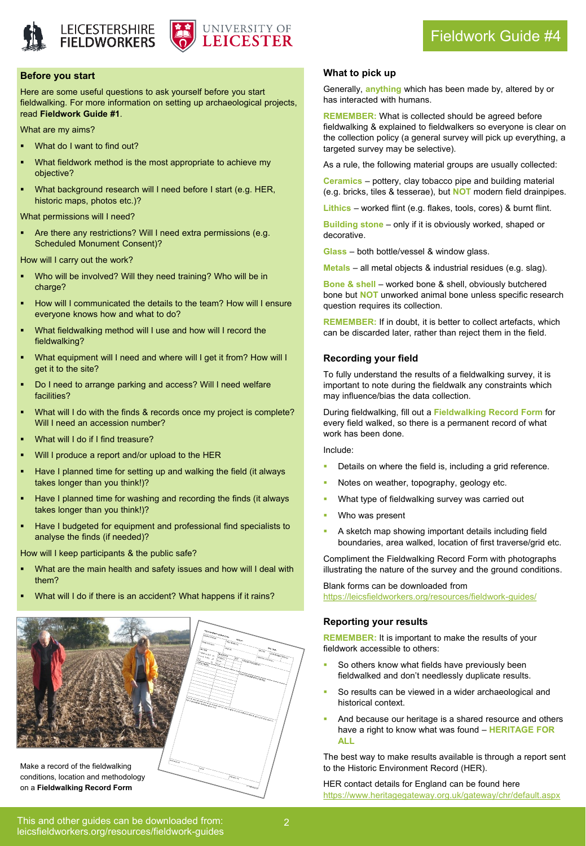





### Fieldwork Guide #4

#### **Before you start**

Here are some useful questions to ask yourself before you start fieldwalking. For more information on setting up archaeological projects, read **Fieldwork Guide #1**.

What are my aims?

- What do I want to find out?
- What fieldwork method is the most appropriate to achieve my objective?
- What background research will I need before I start (e.g. HER, historic maps, photos etc.)?

What permissions will I need?

Are there any restrictions? Will I need extra permissions (e.g. Scheduled Monument Consent)?

How will I carry out the work?

- Who will be involved? Will they need training? Who will be in charge?
- How will I communicated the details to the team? How will I ensure everyone knows how and what to do?
- What fieldwalking method will I use and how will I record the fieldwalking?
- What equipment will I need and where will I get it from? How will I get it to the site?
- Do I need to arrange parking and access? Will I need welfare facilities?
- What will I do with the finds & records once my project is complete? Will I need an accession number?
- What will I do if I find treasure?
- Will I produce a report and/or upload to the HER
- Have I planned time for setting up and walking the field (it always takes longer than you think!)?
- Have I planned time for washing and recording the finds (it always takes longer than you think!)?
- Have I budgeted for equipment and professional find specialists to analyse the finds (if needed)?

How will I keep participants & the public safe?

- What are the main health and safety issues and how will I deal with them?
- What will I do if there is an accident? What happens if it rains?



conditions, location and methodology on a **Fieldwalking Record Form**

#### **What to pick up**

Generally, **anything** which has been made by, altered by or has interacted with humans.

**REMEMBER:** What is collected should be agreed before fieldwalking & explained to fieldwalkers so everyone is clear on the collection policy (a general survey will pick up everything, a targeted survey may be selective).

As a rule, the following material groups are usually collected:

**Ceramics** – pottery, clay tobacco pipe and building material (e.g. bricks, tiles & tesserae), but **NOT** modern field drainpipes.

**Lithics** – worked flint (e.g. flakes, tools, cores) & burnt flint.

**Building stone** – only if it is obviously worked, shaped or decorative.

**Glass** – both bottle/vessel & window glass.

**Metals** – all metal objects & industrial residues (e.g. slag).

**Bone & shell** – worked bone & shell, obviously butchered bone but **NOT** unworked animal bone unless specific research question requires its collection.

**REMEMBER:** If in doubt, it is better to collect artefacts, which can be discarded later, rather than reject them in the field.

#### **Recording your field**

To fully understand the results of a fieldwalking survey, it is important to note during the fieldwalk any constraints which may influence/bias the data collection.

During fieldwalking, fill out a **Fieldwalking Record Form** for every field walked, so there is a permanent record of what work has been done.

Include:

- Details on where the field is, including a grid reference.
- Notes on weather, topography, geology etc.
- What type of fieldwalking survey was carried out
- Who was present
- A sketch map showing important details including field boundaries, area walked, location of first traverse/grid etc.

Compliment the Fieldwalking Record Form with photographs illustrating the nature of the survey and the ground conditions.

Blank forms can be downloaded from <https://leicsfieldworkers.org/resources/fieldwork-guides/>

#### **Reporting your results**

**REMEMBER:** It is important to make the results of your fieldwork accessible to others:

- So others know what fields have previously been fieldwalked and don't needlessly duplicate results.
- So results can be viewed in a wider archaeological and historical context.
- And because our heritage is a shared resource and others have a right to know what was found – **HERITAGE FOR ALL**

The best way to make results available is through a report sent to the Historic Environment Record (HER).

HER contact details for England can be found here <https://www.heritagegateway.org.uk/gateway/chr/default.aspx>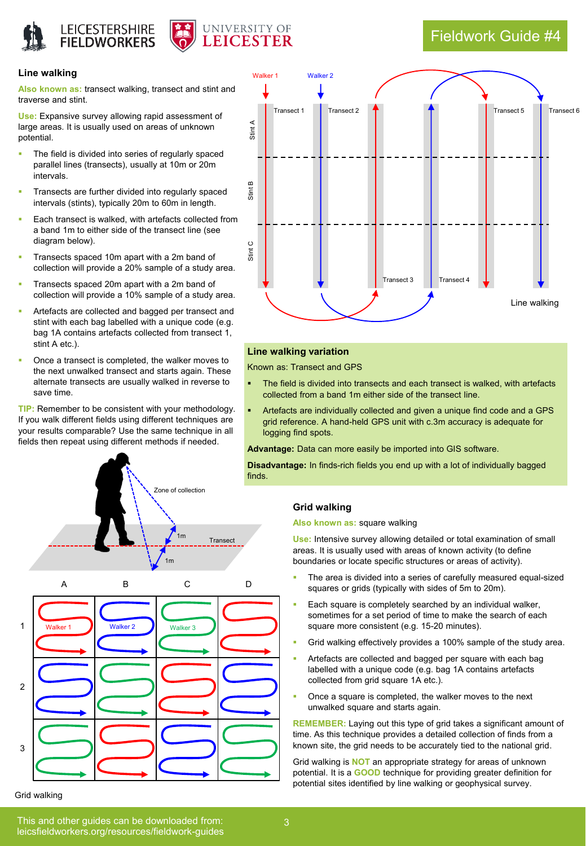

## Fieldwork Guide #4

#### **Line walking**

**Also known as:** transect walking, transect and stint and traverse and stint.

**Use:** Expansive survey allowing rapid assessment of large areas. It is usually used on areas of unknown potential.

- The field is divided into series of regularly spaced parallel lines (transects), usually at 10m or 20m intervals.
- Transects are further divided into regularly spaced intervals (stints), typically 20m to 60m in length.
- Each transect is walked, with artefacts collected from a band 1m to either side of the transect line (see diagram below).
- Transects spaced 10m apart with a 2m band of collection will provide a 20% sample of a study area.
- Transects spaced 20m apart with a 2m band of collection will provide a 10% sample of a study area.
- Artefacts are collected and bagged per transect and stint with each bag labelled with a unique code (e.g. bag 1A contains artefacts collected from transect 1, stint A etc.).
- Once a transect is completed, the walker moves to the next unwalked transect and starts again. These alternate transects are usually walked in reverse to save time.

**TIP:** Remember to be consistent with your methodology. If you walk different fields using different techniques are your results comparable? Use the same technique in all fields then repeat using different methods if needed.



#### Grid walking



#### **Line walking variation**

Known as: Transect and GPS

- The field is divided into transects and each transect is walked, with artefacts collected from a band 1m either side of the transect line.
- Artefacts are individually collected and given a unique find code and a GPS grid reference. A hand-held GPS unit with c.3m accuracy is adequate for logging find spots.

**Advantage:** Data can more easily be imported into GIS software.

**Disadvantage:** In finds-rich fields you end up with a lot of individually bagged

#### **Grid walking**

#### **Also known as:** square walking

**Use:** Intensive survey allowing detailed or total examination of small areas. It is usually used with areas of known activity (to define boundaries or locate specific structures or areas of activity).

- The area is divided into a series of carefully measured equal-sized squares or grids (typically with sides of 5m to 20m).
- Each square is completely searched by an individual walker, sometimes for a set period of time to make the search of each square more consistent (e.g. 15-20 minutes).
- Grid walking effectively provides a 100% sample of the study area.
- Artefacts are collected and bagged per square with each bag labelled with a unique code (e.g. bag 1A contains artefacts collected from grid square 1A etc.).
- Once a square is completed, the walker moves to the next unwalked square and starts again.

**REMEMBER:** Laying out this type of grid takes a significant amount of time. As this technique provides a detailed collection of finds from a known site, the grid needs to be accurately tied to the national grid.

Grid walking is **NOT** an appropriate strategy for areas of unknown potential. It is a **GOOD** technique for providing greater definition for potential sites identified by line walking or geophysical survey.